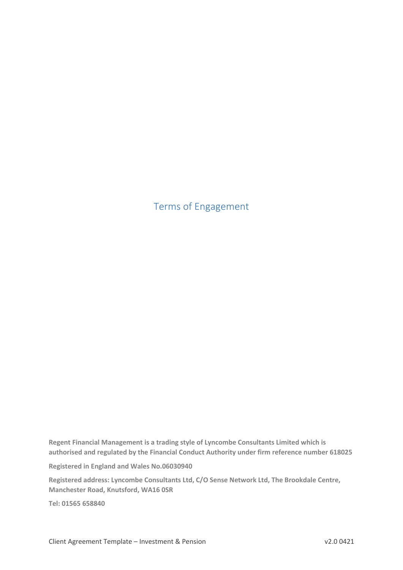Terms of Engagement

**Regent Financial Management is a trading style of Lyncombe Consultants Limited which is authorised and regulated by the Financial Conduct Authority under firm reference number 618025**

**Registered in England and Wales No.06030940**

**Registered address: Lyncombe Consultants Ltd, C/O Sense Network Ltd, The Brookdale Centre, Manchester Road, Knutsford, WA16 0SR**

**Tel: 01565 658840**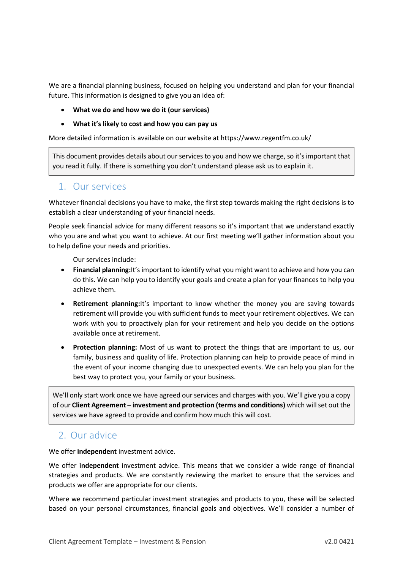We are a financial planning business, focused on helping you understand and plan for your financial future. This information is designed to give you an idea of:

- **What we do and how we do it (our services)**
- **What it's likely to cost and how you can pay us**

More detailed information is available on our website at https://www.regentfm.co.uk/

This document provides details about our services to you and how we charge, so it's important that you read it fully. If there is something you don't understand please ask us to explain it.

#### 1. Our services

Whatever financial decisions you have to make, the first step towards making the right decisions is to establish a clear understanding of your financial needs.

People seek financial advice for many different reasons so it's important that we understand exactly who you are and what you want to achieve. At our first meeting we'll gather information about you to help define your needs and priorities.

Our services include:

- **Financial planning:**It's important to identify what you might want to achieve and how you can do this. We can help you to identify your goals and create a plan for your finances to help you achieve them.
- **Retirement planning:**It's important to know whether the money you are saving towards retirement will provide you with sufficient funds to meet your retirement objectives. We can work with you to proactively plan for your retirement and help you decide on the options available once at retirement.
- **Protection planning:** Most of us want to protect the things that are important to us, our family, business and quality of life. Protection planning can help to provide peace of mind in the event of your income changing due to unexpected events. We can help you plan for the best way to protect you, your family or your business.

We'll only start work once we have agreed our services and charges with you. We'll give you a copy of our **Client Agreement – investment and protection (terms and conditions)** which will set out the services we have agreed to provide and confirm how much this will cost.

### 2. Our advice

We offer **independent** investment advice.

We offer **independent** investment advice. This means that we consider a wide range of financial strategies and products. We are constantly reviewing the market to ensure that the services and products we offer are appropriate for our clients.

Where we recommend particular investment strategies and products to you, these will be selected based on your personal circumstances, financial goals and objectives. We'll consider a number of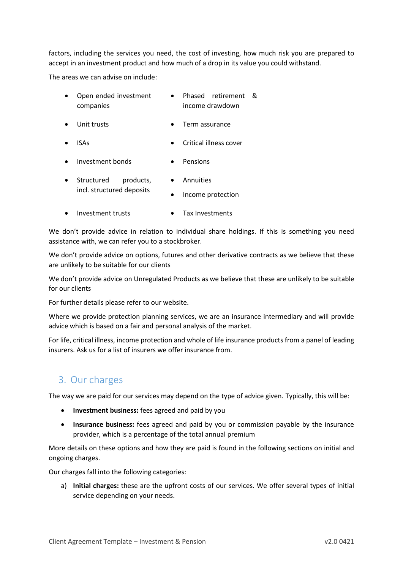factors, including the services you need, the cost of investing, how much risk you are prepared to accept in an investment product and how much of a drop in its value you could withstand.

The areas we can advise on include:

| Open ended investment |                 | Phased retirement & |  |
|-----------------------|-----------------|---------------------|--|
| companies             | income drawdown |                     |  |

- Unit trusts Term assurance
- ISAs Critical illness cover
- Investment bonds Pensions
- Structured products, incl. structured deposits • Annuities • Income protection
- Investment trusts Tax Investments

We don't provide advice in relation to individual share holdings. If this is something you need assistance with, we can refer you to a stockbroker.

We don't provide advice on options, futures and other derivative contracts as we believe that these are unlikely to be suitable for our clients

We don't provide advice on Unregulated Products as we believe that these are unlikely to be suitable for our clients

For further details please refer to our website.

Where we provide protection planning services, we are an insurance intermediary and will provide advice which is based on a fair and personal analysis of the market.

For life, critical illness, income protection and whole of life insurance products from a panel of leading insurers. Ask us for a list of insurers we offer insurance from.

# 3. Our charges

The way we are paid for our services may depend on the type of advice given. Typically, this will be:

- **Investment business:** fees agreed and paid by you
- **Insurance business:** fees agreed and paid by you or commission payable by the insurance provider, which is a percentage of the total annual premium

More details on these options and how they are paid is found in the following sections on initial and ongoing charges.

Our charges fall into the following categories:

a) **Initial charges:** these are the upfront costs of our services. We offer several types of initial service depending on your needs.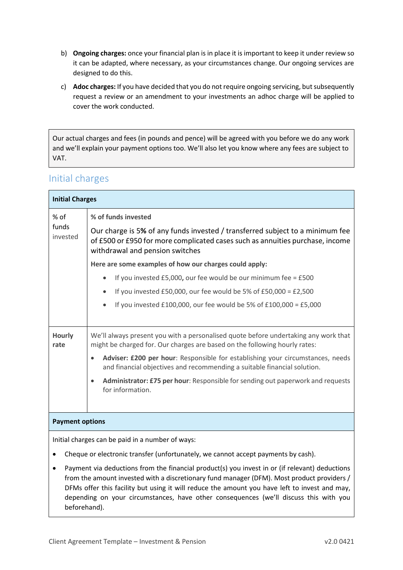- b) **Ongoing charges:** once your financial plan is in place it is important to keep it under review so it can be adapted, where necessary, as your circumstances change. Our ongoing services are designed to do this.
- c) **Adoc charges:** If you have decided that you do not require ongoing servicing, but subsequently request a review or an amendment to your investments an adhoc charge will be applied to cover the work conducted.

Our actual charges and fees (in pounds and pence) will be agreed with you before we do any work and we'll explain your payment options too. We'll also let you know where any fees are subject to VAT.

### Initial charges

| <b>Initial Charges</b>                           |                                                                                                                                                                                                   |  |  |  |  |
|--------------------------------------------------|---------------------------------------------------------------------------------------------------------------------------------------------------------------------------------------------------|--|--|--|--|
| $%$ of                                           | % of funds invested                                                                                                                                                                               |  |  |  |  |
| funds<br>invested                                | Our charge is 5% of any funds invested / transferred subject to a minimum fee<br>of £500 or £950 for more complicated cases such as annuities purchase, income<br>withdrawal and pension switches |  |  |  |  |
|                                                  | Here are some examples of how our charges could apply:                                                                                                                                            |  |  |  |  |
|                                                  | If you invested $£5,000$ , our fee would be our minimum fee = $£500$<br>$\bullet$                                                                                                                 |  |  |  |  |
|                                                  | If you invested £50,000, our fee would be 5% of £50,000 = £2,500                                                                                                                                  |  |  |  |  |
|                                                  | If you invested £100,000, our fee would be 5% of £100,000 = £5,000                                                                                                                                |  |  |  |  |
|                                                  |                                                                                                                                                                                                   |  |  |  |  |
| <b>Hourly</b><br>rate                            | We'll always present you with a personalised quote before undertaking any work that<br>might be charged for. Our charges are based on the following hourly rates:                                 |  |  |  |  |
|                                                  | Adviser: £200 per hour: Responsible for establishing your circumstances, needs<br>$\bullet$<br>and financial objectives and recommending a suitable financial solution.                           |  |  |  |  |
|                                                  | Administrator: £75 per hour: Responsible for sending out paperwork and requests<br>$\bullet$<br>for information.                                                                                  |  |  |  |  |
|                                                  |                                                                                                                                                                                                   |  |  |  |  |
| <b>Payment options</b>                           |                                                                                                                                                                                                   |  |  |  |  |
| Initial charges can be paid in a number of ways: |                                                                                                                                                                                                   |  |  |  |  |

- Cheque or electronic transfer (unfortunately, we cannot accept payments by cash).
- Payment via deductions from the financial product(s) you invest in or (if relevant) deductions from the amount invested with a discretionary fund manager (DFM). Most product providers / DFMs offer this facility but using it will reduce the amount you have left to invest and may, depending on your circumstances, have other consequences (we'll discuss this with you beforehand).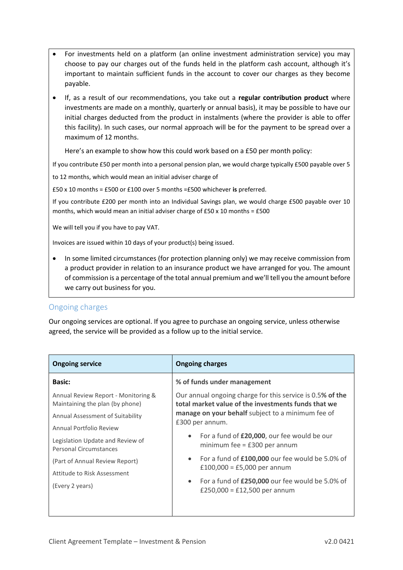- For investments held on a platform (an online investment administration service) you may choose to pay our charges out of the funds held in the platform cash account, although it's important to maintain sufficient funds in the account to cover our charges as they become payable.
- If, as a result of our recommendations, you take out a **regular contribution product** where investments are made on a monthly, quarterly or annual basis), it may be possible to have our initial charges deducted from the product in instalments (where the provider is able to offer this facility). In such cases, our normal approach will be for the payment to be spread over a maximum of 12 months.

Here's an example to show how this could work based on a £50 per month policy:

If you contribute £50 per month into a personal pension plan, we would charge typically £500 payable over 5

to 12 months, which would mean an initial adviser charge of

£50 x 10 months = £500 or £100 over 5 months =£500 whichever **is** preferred.

If you contribute £200 per month into an Individual Savings plan, we would charge £500 payable over 10 months, which would mean an initial adviser charge of £50 x 10 months = £500

We will tell you if you have to pay VAT.

Invoices are issued within 10 days of your product(s) being issued.

• In some limited circumstances (for protection planning only) we may receive commission from a product provider in relation to an insurance product we have arranged for you. The amount of commission is a percentage of the total annual premium and we'll tell you the amount before we carry out business for you.

#### Ongoing charges

Our ongoing services are optional. If you agree to purchase an ongoing service, unless otherwise agreed, the service will be provided as a follow up to the initial service.

| <b>Ongoing service</b>                                                 | <b>Ongoing charges</b>                                                                                           |  |  |
|------------------------------------------------------------------------|------------------------------------------------------------------------------------------------------------------|--|--|
| <b>Basic:</b>                                                          | % of funds under management                                                                                      |  |  |
| Annual Review Report - Monitoring &<br>Maintaining the plan (by phone) | Our annual ongoing charge for this service is 0.5% of the<br>total market value of the investments funds that we |  |  |
| Annual Assessment of Suitability                                       | manage on your behalf subject to a minimum fee of                                                                |  |  |
| Annual Portfolio Review                                                | £300 per annum.                                                                                                  |  |  |
| Legislation Update and Review of<br>Personal Circumstances             | For a fund of £20,000, our fee would be our<br>$\bullet$<br>minimum fee = $£300$ per annum                       |  |  |
| (Part of Annual Review Report)                                         | For a fund of £100,000 our fee would be 5.0% of<br>$\bullet$                                                     |  |  |
| Attitude to Risk Assessment                                            | £100,000 = £5,000 per annum                                                                                      |  |  |
| (Every 2 years)                                                        | For a fund of £250,000 our fee would be 5.0% of<br>$\bullet$<br>£250,000 = £12,500 per annum                     |  |  |
|                                                                        |                                                                                                                  |  |  |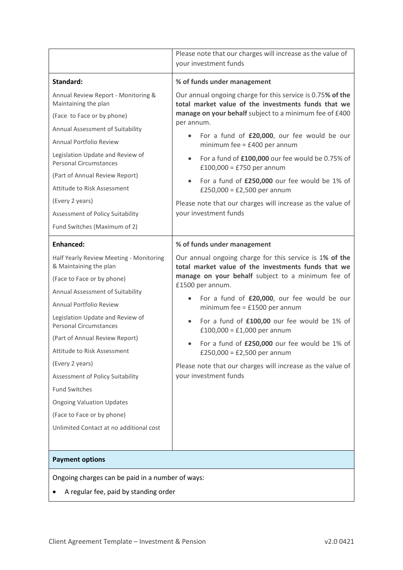|                                                                   | Please note that our charges will increase as the value of<br>your investment funds                                                                                                       |  |  |  |
|-------------------------------------------------------------------|-------------------------------------------------------------------------------------------------------------------------------------------------------------------------------------------|--|--|--|
| Standard:                                                         | % of funds under management                                                                                                                                                               |  |  |  |
| Annual Review Report - Monitoring &<br>Maintaining the plan       | Our annual ongoing charge for this service is 0.75% of the<br>total market value of the investments funds that we<br>manage on your behalf subject to a minimum fee of £400<br>per annum. |  |  |  |
| (Face to Face or by phone)                                        |                                                                                                                                                                                           |  |  |  |
| Annual Assessment of Suitability                                  | For a fund of £20,000, our fee would be our                                                                                                                                               |  |  |  |
| Annual Portfolio Review                                           | minimum fee = $£400$ per annum                                                                                                                                                            |  |  |  |
| Legislation Update and Review of<br><b>Personal Circumstances</b> | For a fund of £100,000 our fee would be 0.75% of<br>$\bullet$<br>£100,000 = £750 per annum                                                                                                |  |  |  |
| (Part of Annual Review Report)                                    | For a fund of £250,000 our fee would be 1% of                                                                                                                                             |  |  |  |
| Attitude to Risk Assessment                                       | £250,000 = £2,500 per annum                                                                                                                                                               |  |  |  |
| (Every 2 years)                                                   | Please note that our charges will increase as the value of                                                                                                                                |  |  |  |
| Assessment of Policy Suitability                                  | your investment funds                                                                                                                                                                     |  |  |  |
| Fund Switches (Maximum of 2)                                      |                                                                                                                                                                                           |  |  |  |
| <b>Enhanced:</b>                                                  | % of funds under management                                                                                                                                                               |  |  |  |
| Half Yearly Review Meeting - Monitoring<br>& Maintaining the plan | Our annual ongoing charge for this service is 1% of the<br>total market value of the investments funds that we                                                                            |  |  |  |
| (Face to Face or by phone)                                        | manage on your behalf subject to a minimum fee of<br>£1500 per annum.                                                                                                                     |  |  |  |
| Annual Assessment of Suitability                                  | For a fund of £20,000, our fee would be our                                                                                                                                               |  |  |  |
| Annual Portfolio Review                                           | minimum fee = $£1500$ per annum                                                                                                                                                           |  |  |  |
| Legislation Update and Review of<br><b>Personal Circumstances</b> | For a fund of £100,00 our fee would be 1% of<br>$\bullet$<br>£100,000 = £1,000 per annum                                                                                                  |  |  |  |
| (Part of Annual Review Report)                                    | For a fund of £250,000 our fee would be 1% of                                                                                                                                             |  |  |  |
| Attitude to Risk Assessment                                       | £250,000 = £2,500 per annum                                                                                                                                                               |  |  |  |
| (Every 2 years)                                                   | Please note that our charges will increase as the value of                                                                                                                                |  |  |  |
| Assessment of Policy Suitability                                  | your investment funds                                                                                                                                                                     |  |  |  |
| <b>Fund Switches</b>                                              |                                                                                                                                                                                           |  |  |  |
| <b>Ongoing Valuation Updates</b>                                  |                                                                                                                                                                                           |  |  |  |
| (Face to Face or by phone)                                        |                                                                                                                                                                                           |  |  |  |
| Unlimited Contact at no additional cost                           |                                                                                                                                                                                           |  |  |  |
|                                                                   |                                                                                                                                                                                           |  |  |  |
| <b>Payment options</b>                                            |                                                                                                                                                                                           |  |  |  |
| Ongoing charges can be paid in a number of ways:                  |                                                                                                                                                                                           |  |  |  |
|                                                                   | A regular fee, paid by standing order                                                                                                                                                     |  |  |  |